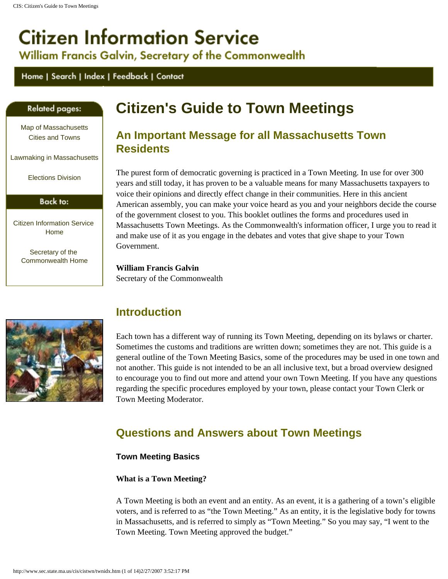# <span id="page-0-0"></span>**Citizen Information Service**

William Francis Galvin, Secretary of the Commonwealth

# Home | Search | Index | Feedback | Contact

# <span id="page-0-1"></span>**Related pages:**

[Map of Massachusetts](http://www.sec.state.ma.us/cis/cismap/mapidx.htm) [Cities and Towns](http://www.sec.state.ma.us/cis/cismap/mapidx.htm)

[Lawmaking in Massachusetts](http://www.sec.state.ma.us/trs/trslaw/lawidx.htm)

[Elections Division](http://www.sec.state.ma.us/ele/eleidx.htm)

# Back to:

[Citizen Information Service](http://www.sec.state.ma.us/cis/cisidx.htm) [Home](http://www.sec.state.ma.us/cis/cisidx.htm)

> [Secretary of the](http://www.sec.state.ma.us/index.htm)  [Commonwealth Home](http://www.sec.state.ma.us/index.htm)

# **Citizen's Guide to Town Meetings**

# **An Important Message for all Massachusetts Town Residents**

The purest form of democratic governing is practiced in a Town Meeting. In use for over 300 years and still today, it has proven to be a valuable means for many Massachusetts taxpayers to voice their opinions and directly effect change in their communities. Here in this ancient American assembly, you can make your voice heard as you and your neighbors decide the course of the government closest to you. This booklet outlines the forms and procedures used in Massachusetts Town Meetings. As the Commonwealth's information officer, I urge you to read it and make use of it as you engage in the debates and votes that give shape to your Town Government.

**William Francis Galvin** Secretary of the Commonwealth



# **Introduction**

Each town has a different way of running its Town Meeting, depending on its bylaws or charter. Sometimes the customs and traditions are written down; sometimes they are not. This guide is a general outline of the Town Meeting Basics, some of the procedures may be used in one town and not another. This guide is not intended to be an all inclusive text, but a broad overview designed to encourage you to find out more and attend your own Town Meeting. If you have any questions regarding the specific procedures employed by your town, please contact your Town Clerk or Town Meeting Moderator.

# **Questions and Answers about Town Meetings**

# **Town Meeting Basics**

# **What is a Town Meeting?**

A Town Meeting is both an event and an entity. As an event, it is a gathering of a town's eligible voters, and is referred to as "the Town Meeting." As an entity, it is the legislative body for towns in Massachusetts, and is referred to simply as "Town Meeting." So you may say, "I went to the Town Meeting. Town Meeting approved the budget."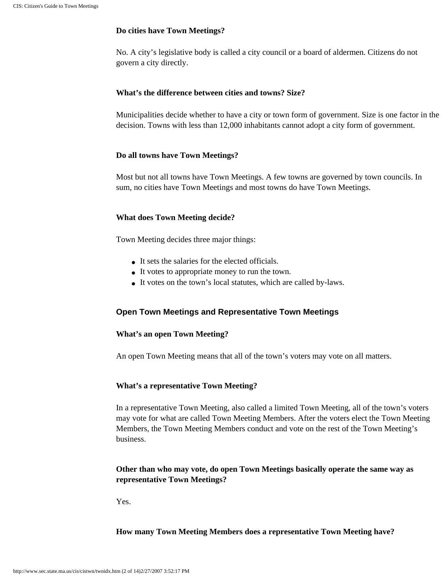#### **Do cities have Town Meetings?**

No. A city's legislative body is called a city council or a board of aldermen. Citizens do not govern a city directly.

# **What's the difference between cities and towns? Size?**

Municipalities decide whether to have a city or town form of government. Size is one factor in the decision. Towns with less than 12,000 inhabitants cannot adopt a city form of government.

# **Do all towns have Town Meetings?**

Most but not all towns have Town Meetings. A few towns are governed by town councils. In sum, no cities have Town Meetings and most towns do have Town Meetings.

# **What does Town Meeting decide?**

Town Meeting decides three major things:

- It sets the salaries for the elected officials.
- It votes to appropriate money to run the town.
- It votes on the town's local statutes, which are called by-laws.

# **Open Town Meetings and Representative Town Meetings**

# **What's an open Town Meeting?**

An open Town Meeting means that all of the town's voters may vote on all matters.

#### **What's a representative Town Meeting?**

In a representative Town Meeting, also called a limited Town Meeting, all of the town's voters may vote for what are called Town Meeting Members. After the voters elect the Town Meeting Members, the Town Meeting Members conduct and vote on the rest of the Town Meeting's business.

# **Other than who may vote, do open Town Meetings basically operate the same way as representative Town Meetings?**

Yes.

**How many Town Meeting Members does a representative Town Meeting have?**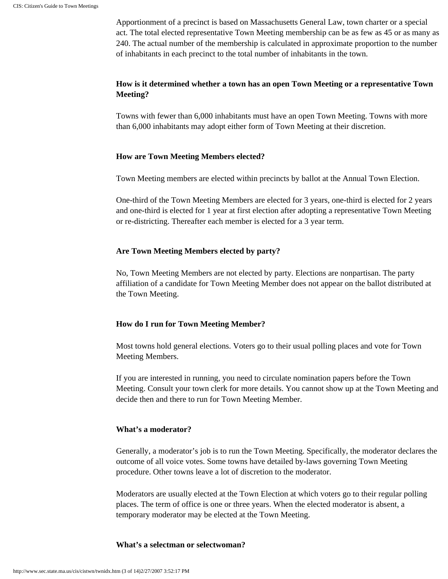Apportionment of a precinct is based on Massachusetts General Law, town charter or a special act. The total elected representative Town Meeting membership can be as few as 45 or as many as 240. The actual number of the membership is calculated in approximate proportion to the number of inhabitants in each precinct to the total number of inhabitants in the town.

# **How is it determined whether a town has an open Town Meeting or a representative Town Meeting?**

Towns with fewer than 6,000 inhabitants must have an open Town Meeting. Towns with more than 6,000 inhabitants may adopt either form of Town Meeting at their discretion.

# **How are Town Meeting Members elected?**

Town Meeting members are elected within precincts by ballot at the Annual Town Election.

One-third of the Town Meeting Members are elected for 3 years, one-third is elected for 2 years and one-third is elected for 1 year at first election after adopting a representative Town Meeting or re-districting. Thereafter each member is elected for a 3 year term.

# **Are Town Meeting Members elected by party?**

No, Town Meeting Members are not elected by party. Elections are nonpartisan. The party affiliation of a candidate for Town Meeting Member does not appear on the ballot distributed at the Town Meeting.

# **How do I run for Town Meeting Member?**

Most towns hold general elections. Voters go to their usual polling places and vote for Town Meeting Members.

If you are interested in running, you need to circulate nomination papers before the Town Meeting. Consult your town clerk for more details. You cannot show up at the Town Meeting and decide then and there to run for Town Meeting Member.

# **What's a moderator?**

Generally, a moderator's job is to run the Town Meeting. Specifically, the moderator declares the outcome of all voice votes. Some towns have detailed by-laws governing Town Meeting procedure. Other towns leave a lot of discretion to the moderator.

Moderators are usually elected at the Town Election at which voters go to their regular polling places. The term of office is one or three years. When the elected moderator is absent, a temporary moderator may be elected at the Town Meeting.

#### **What's a selectman or selectwoman?**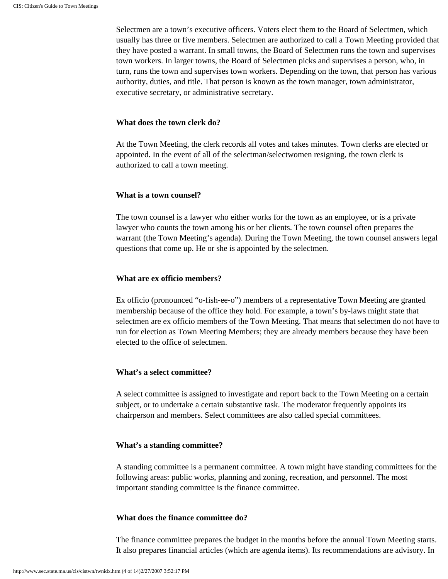Selectmen are a town's executive officers. Voters elect them to the Board of Selectmen, which usually has three or five members. Selectmen are authorized to call a Town Meeting provided that they have posted a warrant. In small towns, the Board of Selectmen runs the town and supervises town workers. In larger towns, the Board of Selectmen picks and supervises a person, who, in turn, runs the town and supervises town workers. Depending on the town, that person has various authority, duties, and title. That person is known as the town manager, town administrator, executive secretary, or administrative secretary.

# **What does the town clerk do?**

At the Town Meeting, the clerk records all votes and takes minutes. Town clerks are elected or appointed. In the event of all of the selectman/selectwomen resigning, the town clerk is authorized to call a town meeting.

# **What is a town counsel?**

The town counsel is a lawyer who either works for the town as an employee, or is a private lawyer who counts the town among his or her clients. The town counsel often prepares the warrant (the Town Meeting's agenda). During the Town Meeting, the town counsel answers legal questions that come up. He or she is appointed by the selectmen.

# **What are ex officio members?**

Ex officio (pronounced "o-fish-ee-o") members of a representative Town Meeting are granted membership because of the office they hold. For example, a town's by-laws might state that selectmen are ex officio members of the Town Meeting. That means that selectmen do not have to run for election as Town Meeting Members; they are already members because they have been elected to the office of selectmen.

# **What's a select committee?**

A select committee is assigned to investigate and report back to the Town Meeting on a certain subject, or to undertake a certain substantive task. The moderator frequently appoints its chairperson and members. Select committees are also called special committees.

# **What's a standing committee?**

A standing committee is a permanent committee. A town might have standing committees for the following areas: public works, planning and zoning, recreation, and personnel. The most important standing committee is the finance committee.

# **What does the finance committee do?**

The finance committee prepares the budget in the months before the annual Town Meeting starts. It also prepares financial articles (which are agenda items). Its recommendations are advisory. In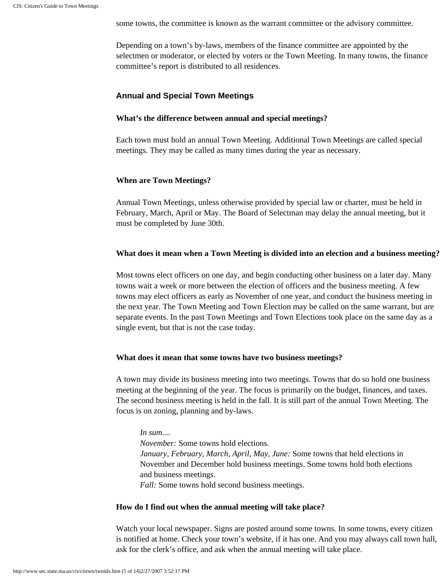some towns, the committee is known as the warrant committee or the advisory committee.

Depending on a town's by-laws, members of the finance committee are appointed by the selectmen or moderator, or elected by voters or the Town Meeting. In many towns, the finance committee's report is distributed to all residences.

# **Annual and Special Town Meetings**

#### **What's the difference between annual and special meetings?**

Each town must hold an annual Town Meeting. Additional Town Meetings are called special meetings. They may be called as many times during the year as necessary.

#### **When are Town Meetings?**

Annual Town Meetings, unless otherwise provided by special law or charter, must be held in February, March, April or May. The Board of Selectman may delay the annual meeting, but it must be completed by June 30th.

#### **What does it mean when a Town Meeting is divided into an election and a business meeting?**

Most towns elect officers on one day, and begin conducting other business on a later day. Many towns wait a week or more between the election of officers and the business meeting. A few towns may elect officers as early as November of one year, and conduct the business meeting in the next year. The Town Meeting and Town Election may be called on the same warrant, but are separate events. In the past Town Meetings and Town Elections took place on the same day as a single event, but that is not the case today.

# **What does it mean that some towns have two business meetings?**

A town may divide its business meeting into two meetings. Towns that do so hold one business meeting at the beginning of the year. The focus is primarily on the budget, finances, and taxes. The second business meeting is held in the fall. It is still part of the annual Town Meeting. The focus is on zoning, planning and by-laws.

#### *In sum....*

*November:* Some towns hold elections. *January, February, March, April, May, June:* Some towns that held elections in November and December hold business meetings. Some towns hold both elections and business meetings.

*Fall:* Some towns hold second business meetings.

#### **How do I find out when the annual meeting will take place?**

Watch your local newspaper. Signs are posted around some towns. In some towns, every citizen is notified at home. Check your town's website, if it has one. And you may always call town hall, ask for the clerk's office, and ask when the annual meeting will take place.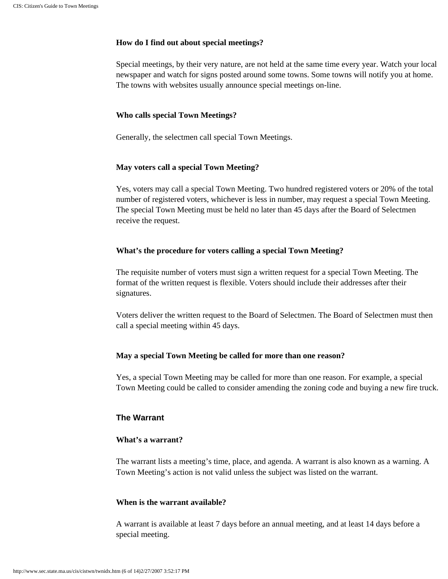# **How do I find out about special meetings?**

Special meetings, by their very nature, are not held at the same time every year. Watch your local newspaper and watch for signs posted around some towns. Some towns will notify you at home. The towns with websites usually announce special meetings on-line.

#### **Who calls special Town Meetings?**

Generally, the selectmen call special Town Meetings.

#### **May voters call a special Town Meeting?**

Yes, voters may call a special Town Meeting. Two hundred registered voters or 20% of the total number of registered voters, whichever is less in number, may request a special Town Meeting. The special Town Meeting must be held no later than 45 days after the Board of Selectmen receive the request.

#### **What's the procedure for voters calling a special Town Meeting?**

The requisite number of voters must sign a written request for a special Town Meeting. The format of the written request is flexible. Voters should include their addresses after their signatures.

Voters deliver the written request to the Board of Selectmen. The Board of Selectmen must then call a special meeting within 45 days.

# **May a special Town Meeting be called for more than one reason?**

Yes, a special Town Meeting may be called for more than one reason. For example, a special Town Meeting could be called to consider amending the zoning code and buying a new fire truck.

# **The Warrant**

#### **What's a warrant?**

The warrant lists a meeting's time, place, and agenda. A warrant is also known as a warning. A Town Meeting's action is not valid unless the subject was listed on the warrant.

# **When is the warrant available?**

A warrant is available at least 7 days before an annual meeting, and at least 14 days before a special meeting.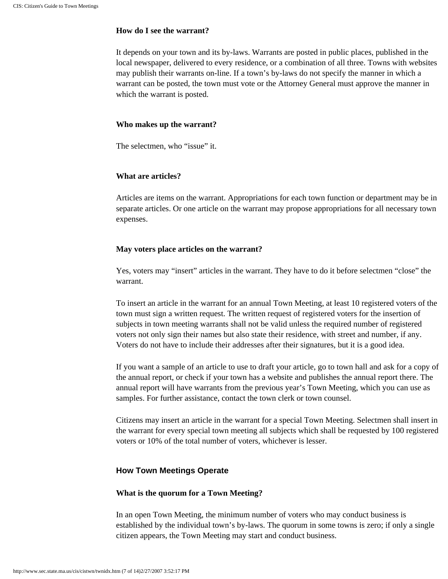#### **How do I see the warrant?**

It depends on your town and its by-laws. Warrants are posted in public places, published in the local newspaper, delivered to every residence, or a combination of all three. Towns with websites may publish their warrants on-line. If a town's by-laws do not specify the manner in which a warrant can be posted, the town must vote or the Attorney General must approve the manner in which the warrant is posted.

#### **Who makes up the warrant?**

The selectmen, who "issue" it.

#### **What are articles?**

Articles are items on the warrant. Appropriations for each town function or department may be in separate articles. Or one article on the warrant may propose appropriations for all necessary town expenses.

#### **May voters place articles on the warrant?**

Yes, voters may "insert" articles in the warrant. They have to do it before selectmen "close" the warrant.

To insert an article in the warrant for an annual Town Meeting, at least 10 registered voters of the town must sign a written request. The written request of registered voters for the insertion of subjects in town meeting warrants shall not be valid unless the required number of registered voters not only sign their names but also state their residence, with street and number, if any. Voters do not have to include their addresses after their signatures, but it is a good idea.

If you want a sample of an article to use to draft your article, go to town hall and ask for a copy of the annual report, or check if your town has a website and publishes the annual report there. The annual report will have warrants from the previous year's Town Meeting, which you can use as samples. For further assistance, contact the town clerk or town counsel.

Citizens may insert an article in the warrant for a special Town Meeting. Selectmen shall insert in the warrant for every special town meeting all subjects which shall be requested by 100 registered voters or 10% of the total number of voters, whichever is lesser.

#### **How Town Meetings Operate**

#### **What is the quorum for a Town Meeting?**

In an open Town Meeting, the minimum number of voters who may conduct business is established by the individual town's by-laws. The quorum in some towns is zero; if only a single citizen appears, the Town Meeting may start and conduct business.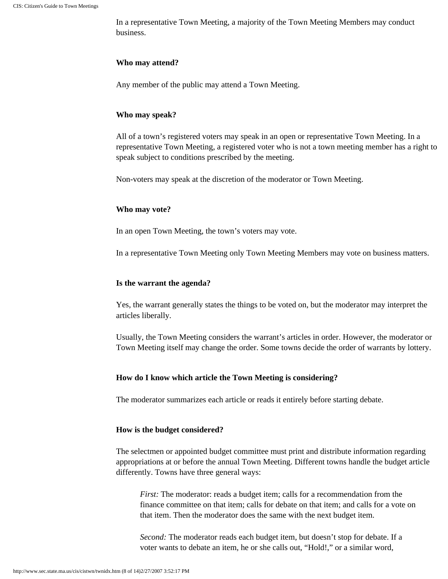In a representative Town Meeting, a majority of the Town Meeting Members may conduct business.

#### **Who may attend?**

Any member of the public may attend a Town Meeting.

#### **Who may speak?**

All of a town's registered voters may speak in an open or representative Town Meeting. In a representative Town Meeting, a registered voter who is not a town meeting member has a right to speak subject to conditions prescribed by the meeting.

Non-voters may speak at the discretion of the moderator or Town Meeting.

#### **Who may vote?**

In an open Town Meeting, the town's voters may vote.

In a representative Town Meeting only Town Meeting Members may vote on business matters.

#### **Is the warrant the agenda?**

Yes, the warrant generally states the things to be voted on, but the moderator may interpret the articles liberally.

Usually, the Town Meeting considers the warrant's articles in order. However, the moderator or Town Meeting itself may change the order. Some towns decide the order of warrants by lottery.

#### **How do I know which article the Town Meeting is considering?**

The moderator summarizes each article or reads it entirely before starting debate.

#### **How is the budget considered?**

The selectmen or appointed budget committee must print and distribute information regarding appropriations at or before the annual Town Meeting. Different towns handle the budget article differently. Towns have three general ways:

*First:* The moderator: reads a budget item; calls for a recommendation from the finance committee on that item; calls for debate on that item; and calls for a vote on that item. Then the moderator does the same with the next budget item.

*Second:* The moderator reads each budget item, but doesn't stop for debate. If a voter wants to debate an item, he or she calls out, "Hold!," or a similar word,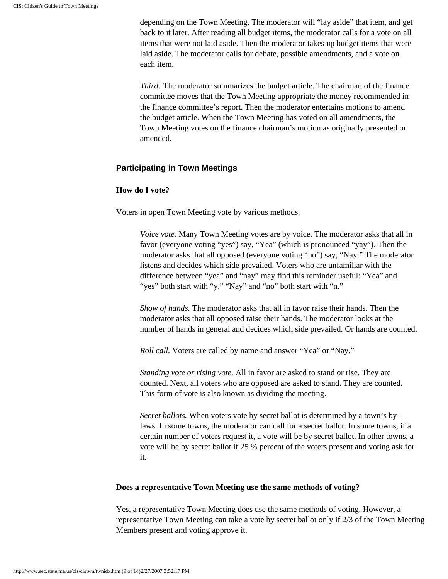depending on the Town Meeting. The moderator will "lay aside" that item, and get back to it later. After reading all budget items, the moderator calls for a vote on all items that were not laid aside. Then the moderator takes up budget items that were laid aside. The moderator calls for debate, possible amendments, and a vote on each item.

*Third:* The moderator summarizes the budget article. The chairman of the finance committee moves that the Town Meeting appropriate the money recommended in the finance committee's report. Then the moderator entertains motions to amend the budget article. When the Town Meeting has voted on all amendments, the Town Meeting votes on the finance chairman's motion as originally presented or amended.

# **Participating in Town Meetings**

# **How do I vote?**

Voters in open Town Meeting vote by various methods.

*Voice vote.* Many Town Meeting votes are by voice. The moderator asks that all in favor (everyone voting "yes") say, "Yea" (which is pronounced "yay"). Then the moderator asks that all opposed (everyone voting "no") say, "Nay." The moderator listens and decides which side prevailed. Voters who are unfamiliar with the difference between "yea" and "nay" may find this reminder useful: "Yea" and "yes" both start with "y." "Nay" and "no" both start with "n."

*Show of hands.* The moderator asks that all in favor raise their hands. Then the moderator asks that all opposed raise their hands. The moderator looks at the number of hands in general and decides which side prevailed. Or hands are counted.

*Roll call.* Voters are called by name and answer "Yea" or "Nay."

*Standing vote or rising vote.* All in favor are asked to stand or rise. They are counted. Next, all voters who are opposed are asked to stand. They are counted. This form of vote is also known as dividing the meeting.

*Secret ballots.* When voters vote by secret ballot is determined by a town's bylaws. In some towns, the moderator can call for a secret ballot. In some towns, if a certain number of voters request it, a vote will be by secret ballot. In other towns, a vote will be by secret ballot if 25 % percent of the voters present and voting ask for it.

# **Does a representative Town Meeting use the same methods of voting?**

Yes, a representative Town Meeting does use the same methods of voting. However, a representative Town Meeting can take a vote by secret ballot only if 2/3 of the Town Meeting Members present and voting approve it.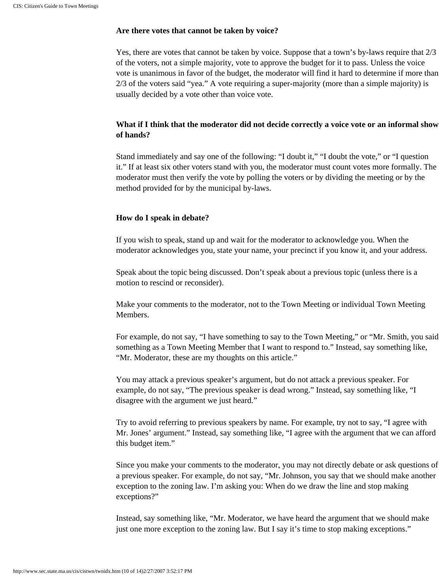#### **Are there votes that cannot be taken by voice?**

Yes, there are votes that cannot be taken by voice. Suppose that a town's by-laws require that 2/3 of the voters, not a simple majority, vote to approve the budget for it to pass. Unless the voice vote is unanimous in favor of the budget, the moderator will find it hard to determine if more than 2/3 of the voters said "yea." A vote requiring a super-majority (more than a simple majority) is usually decided by a vote other than voice vote.

# **What if I think that the moderator did not decide correctly a voice vote or an informal show of hands?**

Stand immediately and say one of the following: "I doubt it," "I doubt the vote," or "I question it." If at least six other voters stand with you, the moderator must count votes more formally. The moderator must then verify the vote by polling the voters or by dividing the meeting or by the method provided for by the municipal by-laws.

#### **How do I speak in debate?**

If you wish to speak, stand up and wait for the moderator to acknowledge you. When the moderator acknowledges you, state your name, your precinct if you know it, and your address.

Speak about the topic being discussed. Don't speak about a previous topic (unless there is a motion to rescind or reconsider).

Make your comments to the moderator, not to the Town Meeting or individual Town Meeting Members.

For example, do not say, "I have something to say to the Town Meeting," or "Mr. Smith, you said something as a Town Meeting Member that I want to respond to." Instead, say something like, "Mr. Moderator, these are my thoughts on this article."

You may attack a previous speaker's argument, but do not attack a previous speaker. For example, do not say, "The previous speaker is dead wrong." Instead, say something like, "I disagree with the argument we just heard."

Try to avoid referring to previous speakers by name. For example, try not to say, "I agree with Mr. Jones' argument." Instead, say something like, "I agree with the argument that we can afford this budget item."

Since you make your comments to the moderator, you may not directly debate or ask questions of a previous speaker. For example, do not say, "Mr. Johnson, you say that we should make another exception to the zoning law. I'm asking you: When do we draw the line and stop making exceptions?"

Instead, say something like, "Mr. Moderator, we have heard the argument that we should make just one more exception to the zoning law. But I say it's time to stop making exceptions."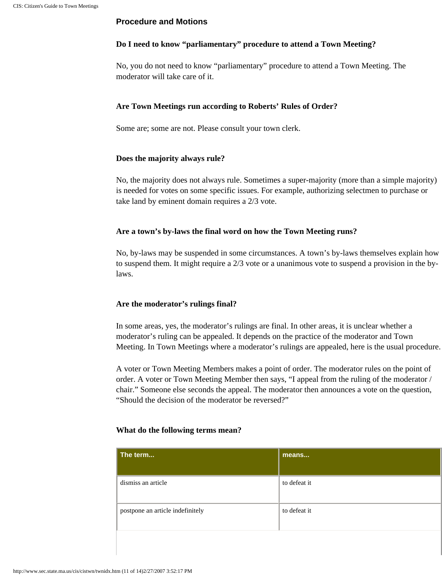# **Procedure and Motions**

# **Do I need to know "parliamentary" procedure to attend a Town Meeting?**

No, you do not need to know "parliamentary" procedure to attend a Town Meeting. The moderator will take care of it.

# **Are Town Meetings run according to Roberts' Rules of Order?**

Some are; some are not. Please consult your town clerk.

# **Does the majority always rule?**

No, the majority does not always rule. Sometimes a super-majority (more than a simple majority) is needed for votes on some specific issues. For example, authorizing selectmen to purchase or take land by eminent domain requires a 2/3 vote.

# **Are a town's by-laws the final word on how the Town Meeting runs?**

No, by-laws may be suspended in some circumstances. A town's by-laws themselves explain how to suspend them. It might require a 2/3 vote or a unanimous vote to suspend a provision in the bylaws.

# **Are the moderator's rulings final?**

In some areas, yes, the moderator's rulings are final. In other areas, it is unclear whether a moderator's ruling can be appealed. It depends on the practice of the moderator and Town Meeting. In Town Meetings where a moderator's rulings are appealed, here is the usual procedure.

A voter or Town Meeting Members makes a point of order. The moderator rules on the point of order. A voter or Town Meeting Member then says, "I appeal from the ruling of the moderator / chair." Someone else seconds the appeal. The moderator then announces a vote on the question, "Should the decision of the moderator be reversed?"

#### **What do the following terms mean?**

| The term                         | means        |
|----------------------------------|--------------|
| dismiss an article               | to defeat it |
| postpone an article indefinitely | to defeat it |
|                                  |              |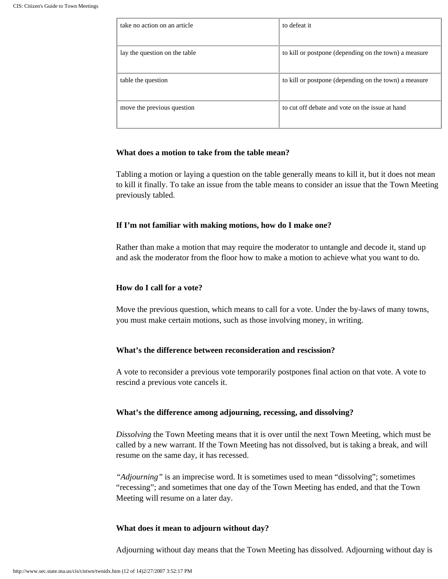| take no action on an article  | to defeat it                                          |
|-------------------------------|-------------------------------------------------------|
| lay the question on the table | to kill or postpone (depending on the town) a measure |
| table the question            | to kill or postpone (depending on the town) a measure |
| move the previous question    | to cut off debate and vote on the issue at hand       |

# **What does a motion to take from the table mean?**

Tabling a motion or laying a question on the table generally means to kill it, but it does not mean to kill it finally. To take an issue from the table means to consider an issue that the Town Meeting previously tabled.

# **If I'm not familiar with making motions, how do I make one?**

Rather than make a motion that may require the moderator to untangle and decode it, stand up and ask the moderator from the floor how to make a motion to achieve what you want to do.

# **How do I call for a vote?**

Move the previous question, which means to call for a vote. Under the by-laws of many towns, you must make certain motions, such as those involving money, in writing.

# **What's the difference between reconsideration and rescission?**

A vote to reconsider a previous vote temporarily postpones final action on that vote. A vote to rescind a previous vote cancels it.

# **What's the difference among adjourning, recessing, and dissolving?**

*Dissolving* the Town Meeting means that it is over until the next Town Meeting, which must be called by a new warrant. If the Town Meeting has not dissolved, but is taking a break, and will resume on the same day, it has recessed.

*"Adjourning"* is an imprecise word. It is sometimes used to mean "dissolving"; sometimes "recessing"; and sometimes that one day of the Town Meeting has ended, and that the Town Meeting will resume on a later day.

# **What does it mean to adjourn without day?**

Adjourning without day means that the Town Meeting has dissolved. Adjourning without day is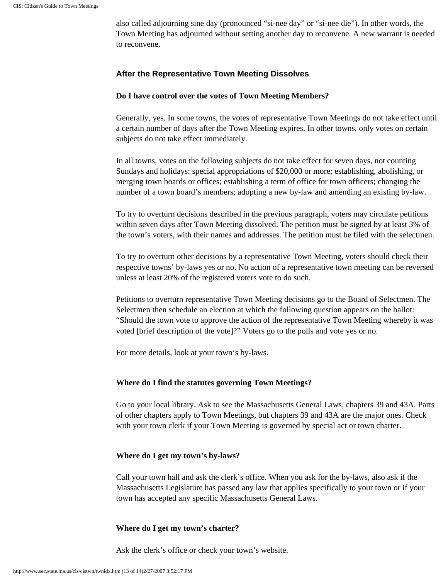also called adjourning sine day (pronounced "si-nee day" or "si-nee die"). In other words, the Town Meeting has adjourned without setting another day to reconvene. A new warrant is needed to reconvene.

# **After the Representative Town Meeting Dissolves**

# **Do I have control over the votes of Town Meeting Members?**

Generally, yes. In some towns, the votes of representative Town Meetings do not take effect until a certain number of days after the Town Meeting expires. In other towns, only votes on certain subjects do not take effect immediately.

In all towns, votes on the following subjects do not take effect for seven days, not counting Sundays and holidays: special appropriations of \$20,000 or more; establishing, abolishing, or merging town boards or offices; establishing a term of office for town officers; changing the number of a town board's members; adopting a new by-law and amending an existing by-law.

To try to overturn decisions described in the previous paragraph, voters may circulate petitions within seven days after Town Meeting dissolved. The petition must be signed by at least 3% of the town's voters, with their names and addresses. The petition must be filed with the selectmen.

To try to overturn other decisions by a representative Town Meeting, voters should check their respective towns' by-laws yes or no. No action of a representative town meeting can be reversed unless at least 20% of the registered voters vote to do such.

Petitions to overturn representative Town Meeting decisions go to the Board of Selectmen. The Selectmen then schedule an election at which the following question appears on the ballot: "Should the town vote to approve the action of the representative Town Meeting whereby it was voted [brief description of the vote]?" Voters go to the polls and vote yes or no.

For more details, look at your town's by-laws.

# **Where do I find the statutes governing Town Meetings?**

Go to your local library. Ask to see the Massachusetts General Laws, chapters 39 and 43A. Parts of other chapters apply to Town Meetings, but chapters 39 and 43A are the major ones. Check with your town clerk if your Town Meeting is governed by special act or town charter.

# **Where do I get my town's by-laws?**

Call your town hall and ask the clerk's office. When you ask for the by-laws, also ask if the Massachusetts Legislature has passed any law that applies specifically to your town or if your town has accepted any specific Massachusetts General Laws.

# **Where do I get my town's charter?**

Ask the clerk's office or check your town's website.